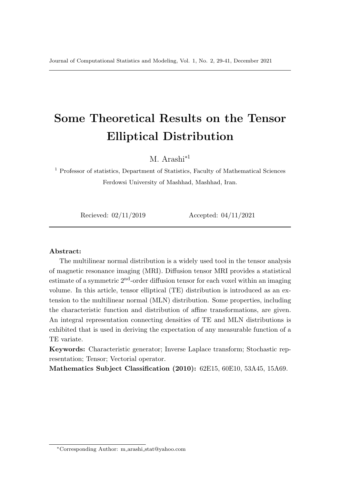# Some Theoretical Results on the Tensor Elliptical Distribution

M. Arashi<sup>\*1</sup>

 $^{\rm 1}$  Professor of statistics, Department of Statistics, Faculty of Mathematical Sciences Ferdowsi University of Mashhad, Mashhad, Iran.

Recieved: 02/11/2019 Accepted: 04/11/2021

#### Abstract:

The multilinear normal distribution is a widely used tool in the tensor analysis of magnetic resonance imaging (MRI). Diffusion tensor MRI provides a statistical estimate of a symmetric  $2<sup>nd</sup>$ -order diffusion tensor for each voxel within an imaging volume. In this article, tensor elliptical (TE) distribution is introduced as an extension to the multilinear normal (MLN) distribution. Some properties, including the characteristic function and distribution of affine transformations, are given. An integral representation connecting densities of TE and MLN distributions is exhibited that is used in deriving the expectation of any measurable function of a TE variate.

Keywords: Characteristic generator; Inverse Laplace transform; Stochastic representation; Tensor; Vectorial operator.

Mathematics Subject Classification (2010): 62E15, 60E10, 53A45, 15A69.

<sup>∗</sup>Corresponding Author: m arashi stat@yahoo.com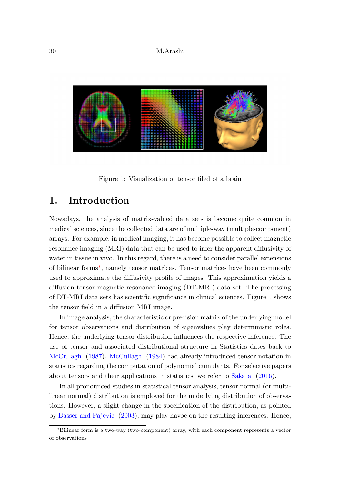

Figure 1: Visualization of tensor filed of a brain

# <span id="page-1-1"></span>1. Introduction

Nowadays, the analysis of matrix-valued data sets is become quite common in medical sciences, since the collected data are of multiple-way (multiple-component) arrays. For example, in medical imaging, it has become possible to collect magnetic resonance imaging (MRI) data that can be used to infer the apparent diffusivity of water in tissue in vivo. In this regard, there is a need to consider parallel extensions of bilinear forms[∗](#page-1-0) , namely tensor matrices. Tensor matrices have been commonly used to approximate the diffusivity profile of images. This approximation yields a diffusion tensor magnetic resonance imaging (DT-MRI) data set. The processing of DT-MRI data sets has scientific significance in clinical sciences. Figure [1](#page-1-1) shows the tensor field in a diffusion MRI image.

In image analysis, the characteristic or precision matrix of the underlying model for tensor observations and distribution of eigenvalues play deterministic roles. Hence, the underlying tensor distribution influences the respective inference. The use of tensor and associated distributional structure in Statistics dates back to [McCullagh](#page-12-0) [\(1987\)](#page-12-0). [McCullagh](#page-12-1) [\(1984\)](#page-12-1) had already introduced tensor notation in statistics regarding the computation of polynomial cumulants. For selective papers about tensors and their applications in statistics, we refer to [Sakata](#page-12-2) [\(2016\)](#page-12-2).

In all pronounced studies in statistical tensor analysis, tensor normal (or multilinear normal) distribution is employed for the underlying distribution of observations. However, a slight change in the specification of the distribution, as pointed by [Basser and Pajevic](#page-11-0) [\(2003\)](#page-11-0), may play havoc on the resulting inferences. Hence,

<span id="page-1-0"></span><sup>∗</sup>Bilinear form is a two-way (two-component) array, with each component represents a vector of observations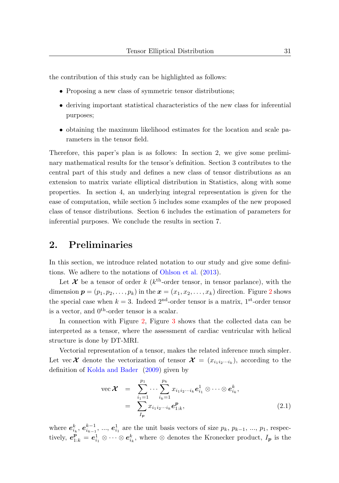the contribution of this study can be highlighted as follows:

- Proposing a new class of symmetric tensor distributions;
- deriving important statistical characteristics of the new class for inferential purposes;
- obtaining the maximum likelihood estimates for the location and scale parameters in the tensor field.

Therefore, this paper's plan is as follows: In section 2, we give some preliminary mathematical results for the tensor's definition. Section 3 contributes to the central part of this study and defines a new class of tensor distributions as an extension to matrix variate elliptical distribution in Statistics, along with some properties. In section 4, an underlying integral representation is given for the ease of computation, while section 5 includes some examples of the new proposed class of tensor distributions. Section 6 includes the estimation of parameters for inferential purposes. We conclude the results in section 7.

## 2. Preliminaries

In this section, we introduce related notation to our study and give some definitions. We adhere to the notations of [Ohlson et al.](#page-12-3) [\(2013\)](#page-12-3).

Let  $\mathcal X$  be a tensor of order k ( $k^{\text{th}}$ -order tensor, in tensor parlance), with the dimension  $p = (p_1, p_2, \ldots, p_k)$  $p = (p_1, p_2, \ldots, p_k)$  $p = (p_1, p_2, \ldots, p_k)$  in the  $\boldsymbol{x} = (x_1, x_2, \ldots, x_k)$  direction. Figure 2 shows the special case when  $k = 3$ . Indeed  $2<sup>nd</sup>$ -order tensor is a matrix,  $1<sup>st</sup>$ -order tensor is a vector, and  $0^{\text{th}}$ -order tensor is a scalar.

In connection with Figure [2,](#page-3-0) Figure [3](#page-3-1) shows that the collected data can be interpreted as a tensor, where the assessment of cardiac ventricular with helical structure is done by DT-MRI.

Vectorial representation of a tensor, makes the related inference much simpler. Let vec  $\mathcal X$  denote the vectorization of tensor  $\mathcal X = (x_{i_1 i_2 \cdots i_k})$ , according to the definition of [Kolda and Bader](#page-12-4) [\(2009\)](#page-12-4) given by

vec 
$$
\mathcal{X}
$$
 =  $\sum_{i_1=1}^{p_1} \cdots \sum_{i_k=1}^{p_k} x_{i_1 i_2 \cdots i_k} e_{i_1}^1 \otimes \cdots \otimes e_{i_k}^k$ ,  
 =  $\sum_{I_p} x_{i_1 i_2 \cdots i_k} e_{1:k}^p$ , (2.1)

where  $e_{i_k}^k, e_{i_{k-1}}^{k-1}, ..., e_{i_1}^1$  are the unit basis vectors of size  $p_k, p_{k-1}, ..., p_1$ , respectively,  $e_{1:k}^{\mathbf{p}} = e_{i_1}^1 \otimes \cdots \otimes e_{i_k}^k$ , where  $\otimes$  denotes the Kronecker product,  $I_{\mathbf{p}}$  is the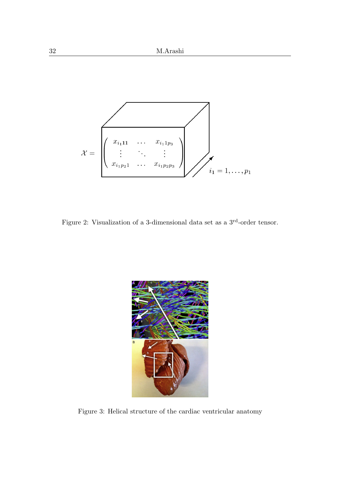

<span id="page-3-0"></span>Figure 2: Visualization of a 3-dimensional data set as a 3rd-order tensor.

<span id="page-3-1"></span>

Figure 3: Helical structure of the cardiac ventricular anatomy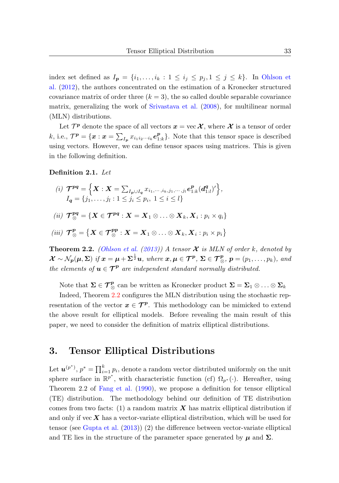index set defined as  $I_p = \{i_1, \ldots, i_k : 1 \le i_j \le p_j, 1 \le j \le k\}$ . In [Ohlson et](#page-12-5) [al.](#page-12-5) [\(2012\)](#page-12-5), the authors concentrated on the estimation of a Kronecker structured covariance matrix of order three  $(k = 3)$ , the so called double separable covariance matrix, generalizing the work of [Srivastava et al.](#page-12-6) [\(2008\)](#page-12-6), for multilinear normal (MLN) distributions.

Let  $\mathcal{T}^p$  denote the space of all vectors  $\boldsymbol{x} = \text{vec } \mathcal{X}$ , where  $\mathcal{X}$  is a tensor of order k, i.e.,  $\mathcal{T}^{\mathbf{p}} = {\mathbf{x} : \mathbf{x} = \sum_{I_{\mathbf{p}}} x_{i_1 i_2 \cdots i_k} \mathbf{e}_{1:k}^{\mathbf{p}}}.$  Note that this tensor space is described using vectors. However, we can define tensor spaces using matrices. This is given in the following definition.

#### Definition 2.1. Let

(i) 
$$
\mathcal{T}^{pq} = \left\{ \boldsymbol{X} : \boldsymbol{X} = \sum_{I_p \cup I_q} x_{i_1, \dots, i_k, j_1, \dots, j_l} e_{1:k}^p (d_{1:l}^q)' \right\},
$$
  
\n $I_q = \{j_1, \dots, j_l : 1 \le j_i \le p_i, 1 \le i \le l \}$   
\n(ii)  $\mathcal{T}^{pq}_{\otimes} = \left\{ \boldsymbol{X} \in \mathcal{T}^{pq} : \boldsymbol{X} = \boldsymbol{X}_1 \otimes \dots \otimes \boldsymbol{X}_k, \boldsymbol{X}_i : p_i \times q_i \right\}$   
\n(iii)  $\mathcal{T}^p_{\otimes} = \left\{ \boldsymbol{X} \in \mathcal{T}^{pp}_{\otimes} : \boldsymbol{X} = \boldsymbol{X}_1 \otimes \dots \otimes \boldsymbol{X}_k, \boldsymbol{X}_i : p_i \times p_i \right\}$ 

<span id="page-4-0"></span>**Theorem 2.2.** [\(Ohlson et al.](#page-12-3) [\(2013\)](#page-12-3)) A tensor  $\mathcal{X}$  is MLN of order k, denoted by  $\mathcal{X} \sim \mathcal{N}_{p}(\mu, \Sigma)$  if  $x = \mu + \Sigma^{\frac{1}{2}}u$ , where  $x, \mu \in \mathcal{T}^{p}, \ \Sigma \in \mathcal{T}^{p}_{\otimes}, p = (p_1, \ldots, p_k)$ , and the elements of  $u \in \mathcal{T}^p$  are independent standard normally distributed.

Note that  $\Sigma \in \mathcal{T}_{\otimes}^p$  can be written as Kronecker product  $\Sigma = \Sigma_1 \otimes \ldots \otimes \Sigma_k$ 

Indeed, Theorem [2.2](#page-4-0) configures the MLN distribution using the stochastic representation of the vector  $x \in \mathcal{T}^p$ . This methodology can be mimicked to extend the above result for elliptical models. Before revealing the main result of this paper, we need to consider the definition of matrix elliptical distributions.

# 3. Tensor Elliptical Distributions

Let  $u^{(p^*)}, p^* = \prod_{i=1}^k p_i$ , denote a random vector distributed uniformly on the unit sphere surface in  $\mathbb{R}^{p^*}$ , with characteristic function (cf)  $\Omega_{p^*}(\cdot)$ . Hereafter, using Theorem 2.2 of [Fang et al.](#page-11-1) [\(1990\)](#page-11-1), we propose a definition for tensor elliptical (TE) distribution. The methodology behind our definition of TE distribution comes from two facts: (1) a random matrix  $\boldsymbol{X}$  has matrix elliptical distribution if and only if vec  $\boldsymbol{X}$  has a vector-variate elliptical distribution, which will be used for tensor (see [Gupta et al.](#page-12-7) [\(2013\)](#page-12-7)) (2) the difference between vector-variate elliptical and TE lies in the structure of the parameter space generated by  $\mu$  and  $\Sigma$ .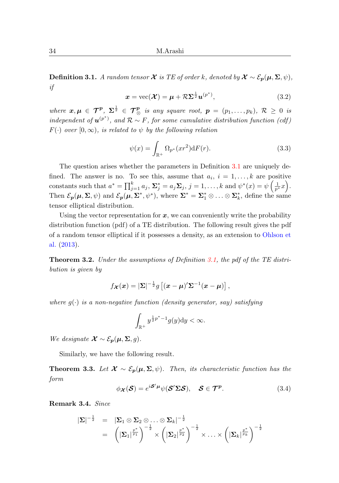<span id="page-5-0"></span>Definition 3.1. A random tensor  $\mathcal X$  is TE of order k, denoted by  $\mathcal X \sim \mathcal E_p(\mu, \Sigma, \psi)$ , if

$$
\boldsymbol{x} = \text{vec}(\boldsymbol{\mathcal{X}}) = \boldsymbol{\mu} + \mathcal{R}\boldsymbol{\Sigma}^{\frac{1}{2}}\boldsymbol{u}^{(p^*)},
$$
\n(3.2)

where  $\mathbf{x}, \mu \in \mathcal{T}^{\mathbf{p}}, \ \Sigma^{\frac{1}{2}} \in \mathcal{T}^{\mathbf{p}}_{\otimes}$  is any square root,  $\mathbf{p} = (p_1, \ldots, p_k), \ \mathcal{R} \geq 0$  is independent of  $u^{(p^*)}$ , and  $\mathcal{R} \sim F$ , for some cumulative distribution function (cdf)  $F(\cdot)$  over  $[0,\infty)$ , is related to  $\psi$  by the following relation

$$
\psi(x) = \int_{\mathbb{R}^+} \Omega_{p^*}(xr^2) \, dF(r). \tag{3.3}
$$

The question arises whether the parameters in Definition [3.1](#page-5-0) are uniquely defined. The answer is no. To see this, assume that  $a_i$ ,  $i = 1, ..., k$  are positive constants such that  $a^* = \prod_{j=1}^k a_j$ ,  $\Sigma_j^* = a_j \Sigma_j$ ,  $j = 1, \ldots, k$  and  $\psi^*(x) = \psi\left(\frac{1}{p^*}x\right)$ . Then  $\mathcal{E}_{p}(\mu, \Sigma, \psi)$  and  $\mathcal{E}_{p}(\mu, \Sigma^*, \psi^*)$ , where  $\Sigma^* = \Sigma^*_{1} \otimes \ldots \otimes \Sigma^*_{k}$ , define the same tensor elliptical distribution.

Using the vector representation for  $x$ , we can conveniently write the probability distribution function (pdf) of a TE distribution. The following result gives the pdf of a random tensor elliptical if it possesses a density, as an extension to [Ohlson et](#page-12-3) [al.](#page-12-3) [\(2013\)](#page-12-3).

Theorem 3.2. Under the assumptions of Definition [3.1,](#page-5-0) the pdf of the TE distribution is given by

$$
f_{\boldsymbol{\mathcal{X}}}(\boldsymbol{x}) = |\boldsymbol{\Sigma}|^{-\frac{1}{2}} g \left[ (\boldsymbol{x} - \boldsymbol{\mu})^{\prime} \boldsymbol{\Sigma}^{-1} (\boldsymbol{x} - \boldsymbol{\mu}) \right],
$$

where  $g(\cdot)$  is a non-negative function (density generator, say) satisfying

$$
\int_{\mathbb{R}^+} y^{\frac{1}{2}p^*-1} g(y) \mathrm{d}y < \infty.
$$

We designate  $\mathcal{X} \sim \mathcal{E}_{p}(\mu, \Sigma, g)$ .

Similarly, we have the following result.

**Theorem 3.3.** Let  $\mathcal{X} \sim \mathcal{E}_p(\mu, \Sigma, \psi)$ . Then, its characteristic function has the form

$$
\phi_{\mathcal{X}}(\mathcal{S}) = e^{i\mathcal{S}'\mu}\psi(\mathcal{S}'\Sigma\mathcal{S}), \quad \mathcal{S} \in \mathcal{T}^p. \tag{3.4}
$$

Remark 3.4. Since

$$
\begin{array}{rcl}\n|\boldsymbol{\Sigma}|^{-\frac{1}{2}} & = & |\boldsymbol{\Sigma}_1 \otimes \boldsymbol{\Sigma}_2 \otimes \ldots \otimes \boldsymbol{\Sigma}_k|^{-\frac{1}{2}} \\
& = & \left( |\boldsymbol{\Sigma}_1|^{\frac{p^*}{p_1}} \right)^{-\frac{1}{2}} \times \left( |\boldsymbol{\Sigma}_2|^{\frac{p^*}{p_2}} \right)^{-\frac{1}{2}} \times \ldots \times \left( |\boldsymbol{\Sigma}_k|^{\frac{p^*}{p_k}} \right)^{-\frac{1}{2}}\n\end{array}
$$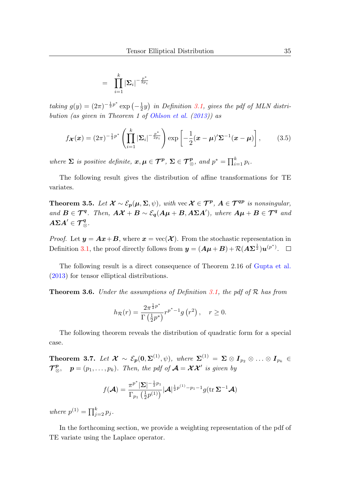$$
= \prod_{i=1}^k |\boldsymbol{\Sigma}_i|^{-\frac{p^*}{2p_i}}
$$

taking  $g(y) = (2\pi)^{-\frac{1}{2}p^*} \exp\left(-\frac{1}{2}y\right)$  in Definition [3.1,](#page-5-0) gives the pdf of MLN distri-bution (as given in Theorem 1 of [Ohlson et al.](#page-12-3)  $(2013)$ ) as

$$
f_{\boldsymbol{\mathcal{X}}}(\boldsymbol{x}) = (2\pi)^{-\frac{1}{2}p^*} \left( \prod_{i=1}^k |\boldsymbol{\Sigma}_i|^{-\frac{p^*}{2p_i}} \right) \exp\left[ -\frac{1}{2} (\boldsymbol{x} - \boldsymbol{\mu})^{\prime} \boldsymbol{\Sigma}^{-1} (\boldsymbol{x} - \boldsymbol{\mu}) \right], \qquad (3.5)
$$

where  $\Sigma$  is positive definite,  $x, \mu \in \mathcal{T}^p$ ,  $\Sigma \in \mathcal{T}^p_{\otimes}$ , and  $p^* = \prod_{i=1}^k p_i$ .

The following result gives the distribution of affine transformations for TE variates.

**Theorem 3.5.** Let  $\mathcal{X} \sim \mathcal{E}_p(\mu, \Sigma, \psi)$ , with vec  $\mathcal{X} \in \mathcal{T}^p$ ,  $A \in \mathcal{T}^{qp}$  is nonsingular, and  $B \in \mathcal{T}^q$ . Then,  $A\mathcal{X} + B \sim \mathcal{E}_q(A\mu + B, A\Sigma A')$ , where  $A\mu + B \in \mathcal{T}^q$  and  $A\Sigma A'\in{\mathcal T}_\otimes^q.$ 

*Proof.* Let  $y = Ax + B$ , where  $x = \text{vec}(\mathcal{X})$ . From the stochastic representation in Definition [3.1,](#page-5-0) the proof directly follows from  $y = (A\mu + B) + R(A\Sigma^{\frac{1}{2}})u^{(p^*)}$ .

The following result is a direct consequence of Theorem 2.16 of [Gupta et al.](#page-12-7) [\(2013\)](#page-12-7) for tensor elliptical distributions.

**Theorem 3.6.** Under the assumptions of Definition [3.1,](#page-5-0) the pdf of  $\mathcal{R}$  has from

$$
h_{\mathcal{R}}(r) = \frac{2\pi^{\frac{1}{2}p^*}}{\Gamma(\frac{1}{2}p^*)} r^{p^*-1} g(r^2) , \quad r \ge 0.
$$

The following theorem reveals the distribution of quadratic form for a special case.

Theorem 3.7. Let  $\mathcal{X} \sim \mathcal{E}_{p}(0, \Sigma^{(1)}, \psi)$ , where  $\Sigma^{(1)} = \Sigma \otimes I_{p_2} \otimes \ldots \otimes I_{p_k} \in$  $\mathcal{T}_{\otimes}^{\mathbf{p}}, \quad \mathbf{p}=(p_1,\ldots,p_k).$  Then, the pdf of  $\mathcal{A}=\mathcal{X}\mathcal{X}'$  is given by

$$
f(\mathcal{A}) = \frac{\pi^{p^*} |\Sigma|^{-\frac{1}{2}p_1}}{\Gamma_{p_1} (\frac{1}{2}p^{(1)})} |\mathcal{A}|^{\frac{1}{2}p^{(1)} - p_1 - 1} g(\text{tr }\Sigma^{-1}\mathcal{A})
$$

where  $p^{(1)} = \prod_{j=2}^{k} p_j$ .

In the forthcoming section, we provide a weighting representation of the pdf of TE variate using the Laplace operator.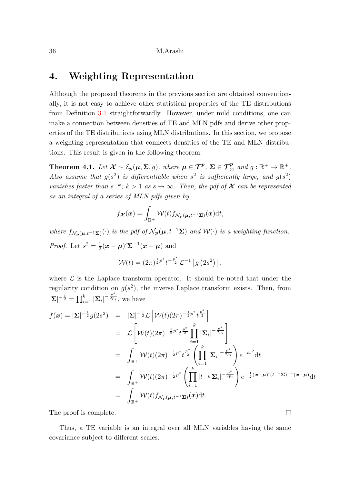## 4. Weighting Representation

Although the proposed theorems in the previous section are obtained conventionally, it is not easy to achieve other statistical properties of the TE distributions from Definition [3.1](#page-5-0) straightforwardly. However, under mild conditions, one can make a connection between densities of TE and MLN pdfs and derive other properties of the TE distributions using MLN distributions. In this section, we propose a weighting representation that connects densities of the TE and MLN distributions. This result is given in the following theorem.

<span id="page-7-0"></span>**Theorem 4.1.** Let  $\mathcal{X} \sim \mathcal{E}_{p}(\mu, \Sigma, g)$ , where  $\mu \in \mathcal{T}^{p}$ ,  $\Sigma \in \mathcal{T}^{p}_{\otimes}$  and  $g: \mathbb{R}^{+} \to \mathbb{R}^{+}$ . Also assume that  $g(s^2)$  is differentiable when  $s^2$  is sufficiently large, and  $g(s^2)$ vanishes faster than  $s^{-k}$ ;  $k > 1$  as  $s \to \infty$ . Then, the pdf of  $\mathcal X$  can be represented as an integral of a series of MLN pdfs given by

$$
f_{\boldsymbol{\mathcal{X}}}(\boldsymbol{x}) = \int_{\mathbb{R}^+} \mathcal{W}(t) f_{\mathcal{N}_{\boldsymbol{p}}(\boldsymbol{\mu}, t^{-1}\boldsymbol{\Sigma})}(\boldsymbol{x}) \mathrm{d}t,
$$

where  $f_{\mathcal{N}_n(\boldsymbol{\mu},t^{-1}\boldsymbol{\Sigma})}(\cdot)$  is the pdf of  $\mathcal{N}_p(\boldsymbol{\mu},t^{-1}\boldsymbol{\Sigma})$  and  $\mathcal{W}(\cdot)$  is a weighting function. *Proof.* Let  $s^2 = \frac{1}{2}(\boldsymbol{x} - \boldsymbol{\mu})' \boldsymbol{\Sigma}^{-1}(\boldsymbol{x} - \boldsymbol{\mu})$  and

$$
\mathcal{W}(t) = (2\pi)^{\frac{1}{2}p^*} t^{-\frac{p^*}{2}} \mathcal{L}^{-1} \left[ g\left(2s^2\right) \right],
$$

where  $\mathcal L$  is the Laplace transform operator. It should be noted that under the regularity condition on  $g(s^2)$ , the inverse Laplace transform exists. Then, from  $|\mathbf{\Sigma}|^{-\frac{1}{2}} = \prod_{i=1}^{k} |\mathbf{\Sigma}_i|^{-\frac{p^*}{2p_i}},$  we have

$$
f(\mathbf{x}) = |\mathbf{\Sigma}|^{-\frac{1}{2}} g(2s^2) = |\mathbf{\Sigma}|^{-\frac{1}{2}} \mathcal{L} \left[ \mathcal{W}(t) (2\pi)^{-\frac{1}{2}p^*} t^{\frac{p^*}{2}} \right]
$$
  
\n
$$
= \mathcal{L} \left[ \mathcal{W}(t) (2\pi)^{-\frac{1}{2}p^*} t^{\frac{p^*}{2}} \prod_{i=1}^k |\mathbf{\Sigma}_i|^{-\frac{p^*}{2p_i}} \right]
$$
  
\n
$$
= \int_{\mathbb{R}^+} \mathcal{W}(t) (2\pi)^{-\frac{1}{2}p^*} t^{\frac{p^*}{2}} \left( \prod_{i=1}^k |\mathbf{\Sigma}_i|^{-\frac{p^*}{2p_i}} \right) e^{-ts^2} dt
$$
  
\n
$$
= \int_{\mathbb{R}^+} \mathcal{W}(t) (2\pi)^{-\frac{1}{2}p^*} \left( \prod_{i=1}^k |t^{-\frac{1}{k}} \mathbf{\Sigma}_i|^{-\frac{p^*}{2p_i}} \right) e^{-\frac{1}{2} (\mathbf{z} - \mathbf{\mu})'(t^{-1} \mathbf{\Sigma})^{-1} (\mathbf{z} - \mathbf{\mu})} dt
$$
  
\n
$$
= \int_{\mathbb{R}^+} \mathcal{W}(t) f_{\mathcal{N}_p(\mu, t^{-1} \mathbf{\Sigma})}(\mathbf{x}) dt.
$$

The proof is complete.

Thus, a TE variable is an integral over all MLN variables having the same covariance subject to different scales.

 $\Box$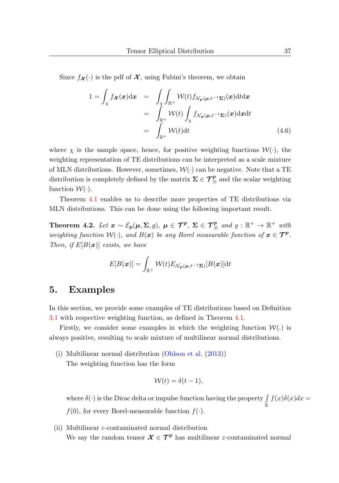Since  $f_{\mathcal{X}}(\cdot)$  is the pdf of  $\mathcal{X}$ , using Fubini's theorem, we obtain

$$
1 = \int_{\chi} f_{\mathcal{X}}(\mathbf{x}) dx = \int_{\chi} \int_{\mathbb{R}^{+}} \mathcal{W}(t) f_{\mathcal{N}_{p}(\mu, t^{-1}\Sigma)}(\mathbf{x}) dt dx
$$
  
\n
$$
= \int_{\mathbb{R}^{+}} \mathcal{W}(t) \int_{\chi} f_{\mathcal{N}_{p}(\mu, t^{-1}\Sigma)}(\mathbf{x}) dx dt
$$
  
\n
$$
= \int_{\mathbb{R}^{+}} \mathcal{W}(t) dt
$$
(4.6)

where  $\chi$  is the sample space, hence, for positive weighting functions  $\mathcal{W}(\cdot)$ , the weighting representation of TE distributions can be interpreted as a scale mixture of MLN distributions. However, sometimes,  $\mathcal{W}(\cdot)$  can be negative. Note that a TE distribution is completely defined by the matrix  $\Sigma \in \mathcal{T}_{\otimes}^p$  and the scalar weighting function  $\mathcal{W}(\cdot)$ .

Theorem [4.1](#page-7-0) enables us to describe more properties of TE distributions via MLN distributions. This can be done using the following important result.

Theorem 4.2. Let  $x \sim \mathcal{E}_{p}(\mu, \Sigma, g)$ ,  $\mu \in \mathcal{T}^{p}$ ,  $\Sigma \in \mathcal{T}^{p}_{\otimes}$  and  $g : \mathbb{R}^{+} \to \mathbb{R}^{+}$  with weighting function  $W(\cdot)$ , and  $B(x)$  be any Borel measurable function of  $x \in \mathcal{T}^p$ . Then, if  $E[B(x)]$  exists, we have

$$
E[B(\boldsymbol{x})] = \int_{\mathbb{R}^+} \mathcal{W}(t) E_{\mathcal{N}_{{\boldsymbol{p}}}(\boldsymbol{\mu}, t^{-1}\boldsymbol{\Sigma})}[B(\boldsymbol{x})] \mathrm{d} t
$$

## 5. Examples

In this section, we provide some examples of TE distributions based on Definition [3.1](#page-5-0) with respective weighting function, as defined in Theorem [4.1.](#page-7-0)

Firstly, we consider some examples in which the weighting function  $W(.)$  is always positive, resulting to scale mixture of multilinear normal distributions.

(i) Multilinear normal distribution [\(Ohlson et al.](#page-12-3) [\(2013\)](#page-12-3)) The weighting function has the form

$$
\mathcal{W}(t) = \delta(t-1),
$$

where  $\delta(\cdot)$  is the Dirac delta or impulse function having the property  $\int\limits_{\mathbb{R}} f(x)\delta(x)dx =$ 

- $f(0)$ , for every Borel-measurable function  $f(\cdot)$ .
- (ii) Multilinear  $\varepsilon$ -contaminated normal distribution We say the random tensor  $\mathcal{X} \in \mathcal{T}^p$  has multilinear  $\varepsilon$ -contaminated normal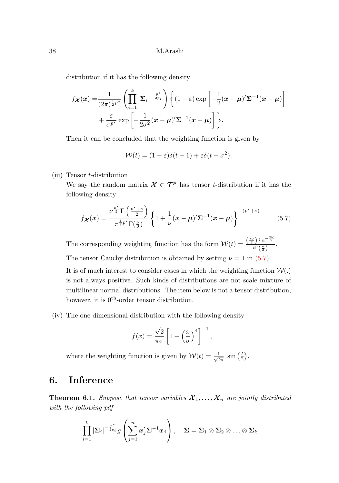distribution if it has the following density

$$
f_{\boldsymbol{\mathcal{X}}}(\boldsymbol{x}) = \frac{1}{(2\pi)^{\frac{1}{2}p^*}} \left( \prod_{i=1}^k |\boldsymbol{\Sigma}_i|^{-\frac{p^*}{2p_i}} \right) \left\{ (1-\varepsilon) \exp \left[ -\frac{1}{2} (\boldsymbol{x} - \boldsymbol{\mu})' \boldsymbol{\Sigma}^{-1} (\boldsymbol{x} - \boldsymbol{\mu}) \right] + \frac{\varepsilon}{\sigma^{p^*}} \exp \left[ -\frac{1}{2\sigma^2} (\boldsymbol{x} - \boldsymbol{\mu})' \boldsymbol{\Sigma}^{-1} (\boldsymbol{x} - \boldsymbol{\mu}) \right] \right\}.
$$

Then it can be concluded that the weighting function is given by

$$
\mathcal{W}(t) = (1 - \varepsilon)\delta(t - 1) + \varepsilon \delta(t - \sigma^2).
$$

(iii) Tensor t-distribution

We say the random matrix  $\mathcal{X} \in \mathcal{T}^p$  has tensor t-distribution if it has the following density

<span id="page-9-0"></span>
$$
f_{\boldsymbol{\mathcal{X}}}(\boldsymbol{x}) = \frac{\nu^{\frac{p^*}{2}} \Gamma\left(\frac{p^* + \nu}{2}\right)}{\pi^{\frac{1}{2}p^*} \Gamma(\frac{\nu}{2})} \left\{ 1 + \frac{1}{\nu} (\boldsymbol{x} - \boldsymbol{\mu})' \boldsymbol{\Sigma}^{-1} (\boldsymbol{x} - \boldsymbol{\mu}) \right\}^{-(p^* + \nu)}.
$$
 (5.7)

The corresponding weighting function has the form  $W(t) = \frac{\left(\frac{tv}{2}\right)^{\frac{\nu}{2}}e^{-\frac{ty}{2}}}{4\Gamma(\nu)}$  $\frac{y}{t\Gamma(\frac{\nu}{2})}$ .

The tensor Cauchy distribution is obtained by setting  $\nu = 1$  in [\(5.7\)](#page-9-0).

It is of much interest to consider cases in which the weighting function  $W(.)$ is not always positive. Such kinds of distributions are not scale mixture of multilinear normal distributions. The item below is not a tensor distribution, however, it is  $0^{\text{th}}$ -order tensor distribution.

(iv) The one-dimensional distribution with the following density

$$
f(x) = \frac{\sqrt{2}}{\pi \sigma} \left[ 1 + \left(\frac{x}{\sigma}\right)^4 \right]^{-1},
$$

where the weighting function is given by  $W(t) = \frac{1}{\sqrt{2}}$  $rac{1}{t\pi}$  sin  $(\frac{t}{2})$ .

# 6. Inference

**Theorem 6.1.** Suppose that tensor variables  $\mathcal{X}_1, \ldots, \mathcal{X}_n$  are jointly distributed with the following pdf

$$
\prod_{i=1}^k |\boldsymbol{\Sigma}_i|^{-\frac{p^*}{2p_i}} g\left(\sum_{j=1}^n x'_j \boldsymbol{\Sigma}^{-1} \boldsymbol{x}_j\right), \quad \boldsymbol{\Sigma} = \boldsymbol{\Sigma}_1 \otimes \boldsymbol{\Sigma}_2 \otimes \ldots \otimes \boldsymbol{\Sigma}_k
$$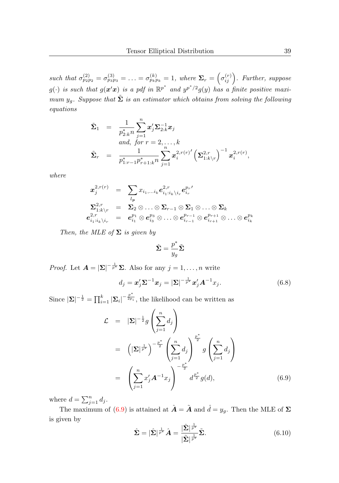such that  $\sigma_{p_2p_2}^{(2)} = \sigma_{p_3p_3}^{(3)} = \ldots = \sigma_{p_kp_k}^{(k)} = 1$ , where  $\Sigma_r = \left(\sigma_{ij}^{(r)}\right)$ . Further, suppose  $g(\cdot)$  is such that  $g(\mathbf{x}'\mathbf{x})$  is a pdf in  $\mathbb{R}^{p^*}$  and  $y^{p^*/2}g(y)$  has a finite positive maximum  $y_g$ . Suppose that  $\tilde{\Sigma}$  is an estimator which obtains from solving the following equations

$$
\begin{array}{lll} \tilde{\mathbf{\Sigma}}_1 &=& \frac{1}{p_{2:k}^* n} \sum_{j=1}^n \pmb{x}_j' \pmb{\Sigma}_{2:k}^{-1} \pmb{x}_j \\ & \qquad \textrm{and,} \ \ for \ r=2, \ldots, k \\ & & \\ \tilde{\mathbf{\Sigma}}_r &=& \frac{1}{p_{1:r-1}^* p_{r+1:k}^* n} \sum_{j=1}^n \pmb{x}_i^{2,r(r)'} \left( \pmb{\Sigma}_{1:k \backslash r}^{2,r} \right)^{-1} \pmb{x}_i^{2,r(r)}, \end{array}
$$

where

$$
\begin{array}{ccl} \boldsymbol{x}^{2,r(r)}_{j} & = & \displaystyle \sum_{l_{\boldsymbol{p}}} x_{i_{1},\dots i_{k}} \boldsymbol{e}^{2,r}_{i_{1}:i_{k} \setminus i_{r}} \boldsymbol{e}^{p_{r} \prime}_{i_{r}} \\ \boldsymbol{\Sigma}^{2,r}_{1:k \setminus r} & = & \boldsymbol{\Sigma}_{2} \otimes \ldots \otimes \boldsymbol{\Sigma}_{r-1} \otimes \boldsymbol{\Sigma}_{1} \otimes \ldots \otimes \boldsymbol{\Sigma}_{k} \\ \boldsymbol{e}^{2,r}_{i_{1}:i_{k} \setminus i_{r}} & = & \boldsymbol{e}^{p_{1}}_{i_{1}} \otimes \boldsymbol{e}^{p_{3}}_{i_{3}} \otimes \ldots \otimes \boldsymbol{e}^{p_{r-1}}_{i_{r-1}} \otimes \boldsymbol{e}^{p_{r+1}}_{i_{r+1}} \otimes \ldots \otimes \boldsymbol{e}^{p_{k}}_{i_{k}} \end{array}
$$

Then, the MLE of  $\Sigma$  is given by

$$
\hat{\mathbf{\Sigma}} = \frac{p^*}{y_g}\tilde{\mathbf{\Sigma}}
$$

*Proof.* Let  $\mathbf{A} = |\mathbf{\Sigma}|^{-\frac{1}{p^*}} \mathbf{\Sigma}$ . Also for any  $j = 1, ..., n$  write

<span id="page-10-1"></span>
$$
d_j = \mathbf{x}'_j \mathbf{\Sigma}^{-1} \mathbf{x}_j = |\mathbf{\Sigma}|^{-\frac{1}{p^*}} \mathbf{x}'_j \mathbf{A}^{-1} x_j.
$$
 (6.8)

Since  $|\Sigma|^{-\frac{1}{2}} = \prod_{i=1}^k |\Sigma_i|^{-\frac{p^*}{2p_i}}$ , the likelihood can be written as

<span id="page-10-0"></span>
$$
\mathcal{L} = |\Sigma|^{-\frac{1}{2}} g\left(\sum_{j=1}^n d_j\right)
$$
  
\n
$$
= \left(|\Sigma|^{\frac{1}{p^*}}\right)^{-\frac{p^*}{2}} \left(\sum_{j=1}^n d_j\right)^{\frac{p^*}{2}} g\left(\sum_{j=1}^n d_j\right)
$$
  
\n
$$
= \left(\sum_{j=1}^n x'_j \mathbf{A}^{-1} x_j\right)^{-\frac{p^*}{2}} d^{\frac{p^*}{2}} g(d), \qquad (6.9)
$$

where  $d = \sum_{j=1}^n d_j$ .

The maximum of [\(6.9\)](#page-10-0) is attained at  $\hat{A} = \tilde{A}$  and  $\hat{d} = y_q$ . Then the MLE of  $\Sigma$ is given by

<span id="page-10-2"></span>
$$
\hat{\Sigma} = |\hat{\Sigma}|^{\frac{1}{p^*}} \hat{A} = \frac{|\hat{\Sigma}|^{\frac{1}{p^*}}}{|\tilde{\Sigma}|^{\frac{1}{p^*}}} \tilde{\Sigma}.
$$
\n(6.10)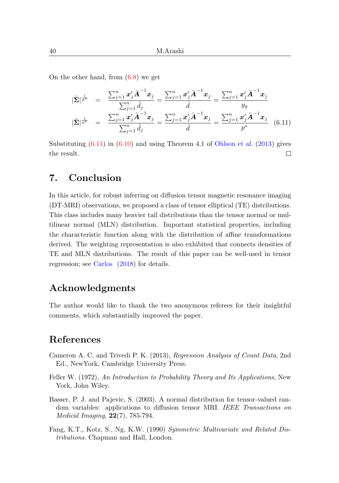On the other hand, from [\(6.8\)](#page-10-1) we get

<span id="page-11-2"></span>
$$
|\hat{\Sigma}|^{\frac{1}{p^*}} = \frac{\sum_{j=1}^n x'_j \hat{A}^{-1} x_j}{\sum_{j=1}^n \hat{d}_j} = \frac{\sum_{j=1}^n x'_j \tilde{A}^{-1} x_j}{\hat{d}} = \frac{\sum_{j=1}^n x'_j \tilde{A}^{-1} x_j}{y_g}
$$
  

$$
|\tilde{\Sigma}|^{\frac{1}{p^*}} = \frac{\sum_{j=1}^n x'_j \tilde{A}^{-1} x_j}{\sum_{j=1}^n \hat{d}_j} = \frac{\sum_{j=1}^n x'_j \tilde{A}^{-1} x_j}{\hat{d}} = \frac{\sum_{j=1}^n x'_j \tilde{A}^{-1} x_j}{p^*}
$$
(6.11)

Substituting  $(6.11)$  in  $(6.10)$  and using Theorem 4.1 of [Ohlson et al.](#page-12-3)  $(2013)$  gives the result.  $\Box$ 

# 7. Conclusion

In this article, for robust inferring on diffusion tensor magnetic resonance imaging (DT-MRI) observations, we proposed a class of tensor elliptical (TE) distributions. This class includes many heavier tail distributions than the tensor normal or multilinear normal (MLN) distribution. Important statistical properties, including the characteristic function along with the distribution of affine transformations derived. The weighting representation is also exhibited that connects densities of TE and MLN distributions. The result of this paper can be well-used in tensor regression; see [Carlos](#page-12-8) [\(2018\)](#page-12-8) for details.

# Acknowledgments

The author would like to thank the two anonymous referees for their insightful comments, which substantially improved the paper.

# References

- Cameron A. C. and Trivedi P. K. (2013), Regression Analysis of Count Data, 2nd Ed., NewYork, Cambridge University Press.
- Feller W. (1972), An Introduction to Probability Theory and Its Applications, New York, John Wiley.
- <span id="page-11-0"></span>Basser, P. J. and Pajevic, S. (2003). A normal distribution for tensor-valued random variables: applications to diffusion tensor MRI. IEEE Transactions on Medical Imaging, 22(7), 785-794.
- <span id="page-11-1"></span>Fang, K.T., Kotz, S., Ng, K.W. (1990) Symmetric Multivariate and Related Distributions. Chapman and Hall, London.